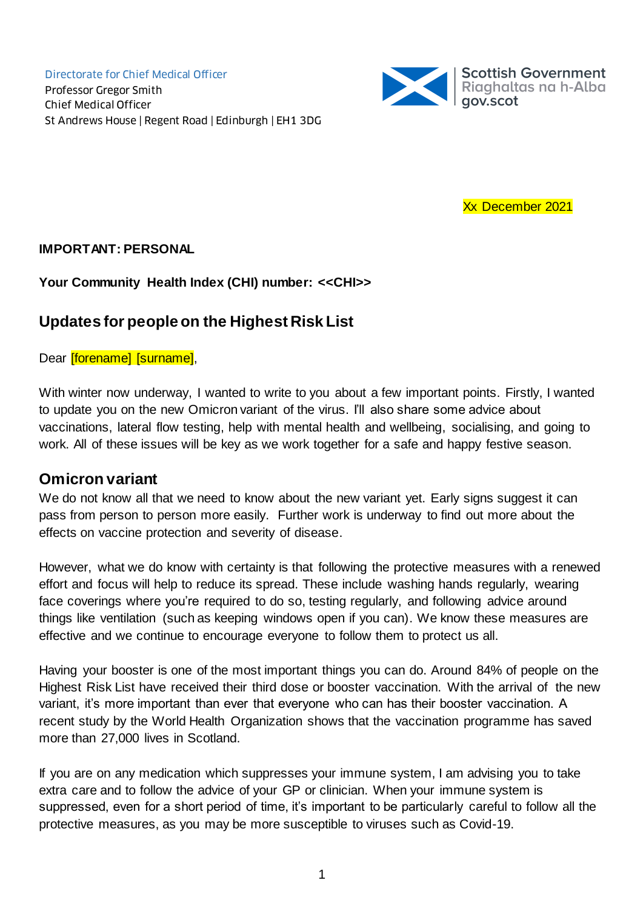Directorate for Chief Medical Officer Professor Gregor Smith Chief Medical Officer St Andrews House | Regent Road | Edinburgh | EH1 3DG



Xx December 2021

#### **IMPORTANT: PERSONAL**

#### **Your Community Health Index (CHI) number: <<CHI>>**

#### **Updates for people on the Highest Risk List**

Dear [forename] [surname],

With winter now underway, I wanted to write to you about a few important points. Firstly, I wanted to update you on the new Omicron variant of the virus. I'll also share some advice about vaccinations, lateral flow testing, help with mental health and wellbeing, socialising, and going to work. All of these issues will be key as we work together for a safe and happy festive season.

#### **Omicron variant**

We do not know all that we need to know about the new variant yet. Early signs suggest it can pass from person to person more easily. Further work is underway to find out more about the effects on vaccine protection and severity of disease.

However, what we do know with certainty is that following the protective measures with a renewed effort and focus will help to reduce its spread. These include washing hands regularly, wearing face coverings where you're required to do so, testing regularly, and following advice around things like ventilation (such as keeping windows open if you can). We know these measures are effective and we continue to encourage everyone to follow them to protect us all.

Having your booster is one of the most important things you can do. Around 84% of people on the Highest Risk List have received their third dose or booster vaccination. With the arrival of the new variant, it's more important than ever that everyone who can has their booster vaccination. A recent study by the World Health Organization shows that the vaccination programme has saved more than 27,000 lives in Scotland.

If you are on any medication which suppresses your immune system, I am advising you to take extra care and to follow the advice of your GP or clinician. When your immune system is suppressed, even for a short period of time, it's important to be particularly careful to follow all the protective measures, as you may be more susceptible to viruses such as Covid-19.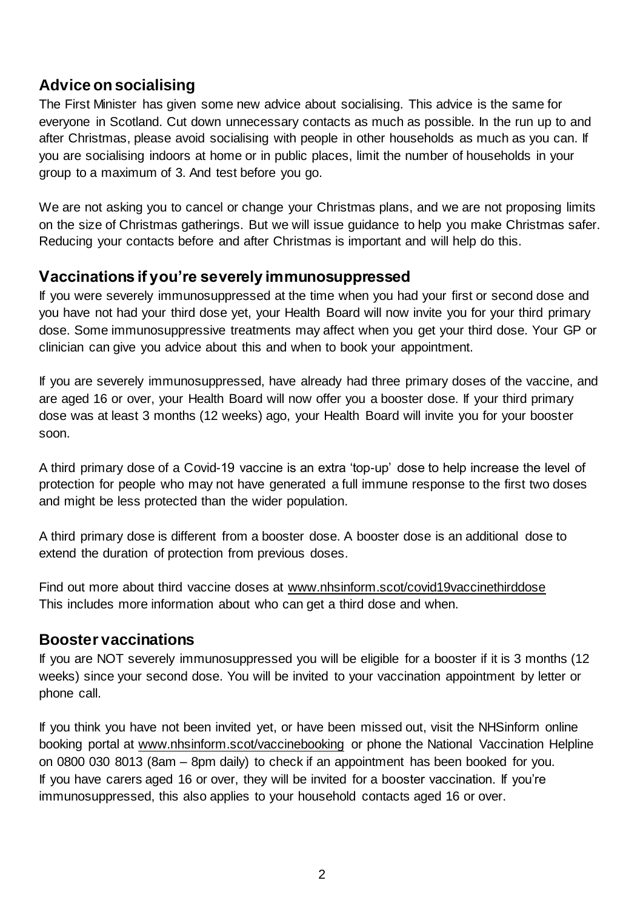# **Advice on socialising**

The First Minister has given some new advice about socialising. This advice is the same for everyone in Scotland. Cut down unnecessary contacts as much as possible. In the run up to and after Christmas, please avoid socialising with people in other households as much as you can. If you are socialising indoors at home or in public places, limit the number of households in your group to a maximum of 3. And test before you go.

We are not asking you to cancel or change your Christmas plans, and we are not proposing limits on the size of Christmas gatherings. But we will issue guidance to help you make Christmas safer. Reducing your contacts before and after Christmas is important and will help do this.

#### **Vaccinations if you're severely immunosuppressed**

If you were severely immunosuppressed at the time when you had your first or second dose and you have not had your third dose yet, your Health Board will now invite you for your third primary dose. Some immunosuppressive treatments may affect when you get your third dose. Your GP or clinician can give you advice about this and when to book your appointment.

If you are severely immunosuppressed, have already had three primary doses of the vaccine, and are aged 16 or over, your Health Board will now offer you a booster dose. If your third primary dose was at least 3 months (12 weeks) ago, your Health Board will invite you for your booster soon.

A third primary dose of a Covid-19 vaccine is an extra 'top-up' dose to help increase the level of protection for people who may not have generated a full immune response to the first two doses and might be less protected than the wider population.

A third primary dose is different from a booster dose. A booster dose is an additional dose to extend the duration of protection from previous doses.

Find out more about third vaccine doses at [www.nhsinform.scot/covid19vaccinethirddose](http://www.nhsinform.scot/covid19vaccinethirddose) This includes more information about who can get a third dose and when.

#### **Booster vaccinations**

If you are NOT severely immunosuppressed you will be eligible for a booster if it is 3 months (12 weeks) since your second dose. You will be invited to your vaccination appointment by letter or phone call.

If you think you have not been invited yet, or have been missed out, visit the NHSinform online booking portal at www.nhsinform.scot/vaccinebooking or phone the National Vaccination Helpline on 0800 030 8013 (8am – 8pm daily) to check if an appointment has been booked for you. If you have carers aged 16 or over, they will be invited for a booster vaccination. If you're immunosuppressed, this also applies to your household contacts aged 16 or over.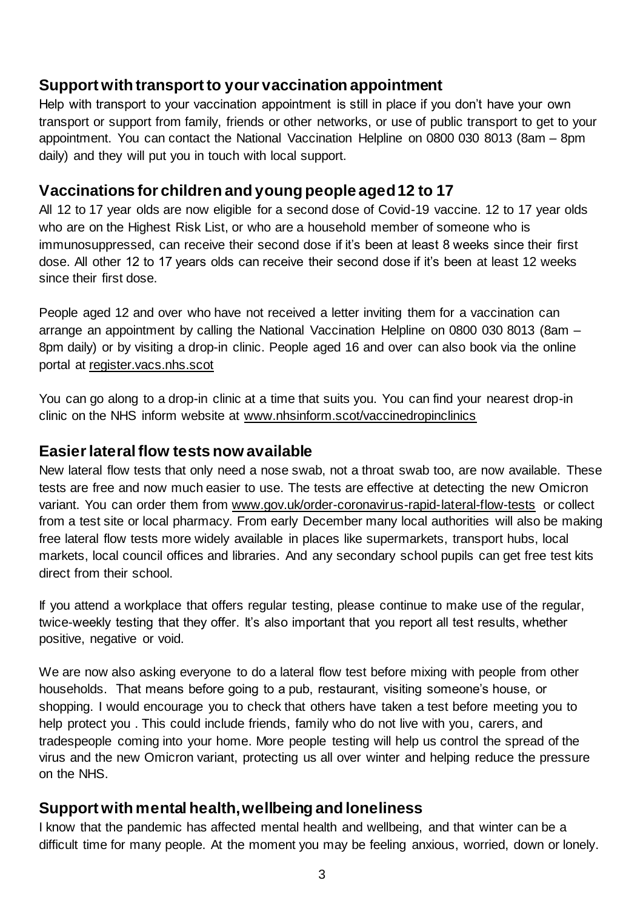#### **Support with transport to your vaccination appointment**

Help with transport to your vaccination appointment is still in place if you don't have your own transport or support from family, friends or other networks, or use of public transport to get to your appointment. You can contact the National Vaccination Helpline on 0800 030 8013 (8am – 8pm daily) and they will put you in touch with local support.

#### **Vaccinations for children and young people aged 12 to 17**

All 12 to 17 year olds are now eligible for a second dose of Covid-19 vaccine. 12 to 17 year olds who are on the Highest Risk List, or who are a household member of someone who is immunosuppressed, can receive their second dose if it's been at least 8 weeks since their first dose. All other 12 to 17 years olds can receive their second dose if it's been at least 12 weeks since their first dose.

People aged 12 and over who have not received a letter inviting them for a vaccination can arrange an appointment by calling the National Vaccination Helpline on 0800 030 8013 (8am – 8pm daily) or by visiting a drop-in clinic. People aged 16 and over can also book via the online portal at [register.vacs.nhs.scot](https://register.vacs.nhs.scot/) 

You can go along to a drop-in clinic at a time that suits you. You can find your nearest drop-in clinic on the NHS inform website at [www.nhsinform.scot/vaccinedropinclinics](http://www.nhsinform.scot/vaccinedropinclinics)

#### **Easier lateral flow tests now available**

New lateral flow tests that only need a nose swab, not a throat swab too, are now available. These tests are free and now much easier to use. The tests are effective at detecting the new Omicron variant. You can order them from [www.gov.uk/order-coronavirus-rapid-lateral-flow-tests](http://www.gov.uk/order-coronavirus-rapid-lateral-flow-tests) or collect from a test site or local pharmacy. From early December many local authorities will also be making free lateral flow tests more widely available in places like supermarkets, transport hubs, local markets, local council offices and libraries. And any secondary school pupils can get free test kits direct from their school.

If you attend a workplace that offers regular testing, please continue to make use of the regular, twice-weekly testing that they offer. It's also important that you report all test results, whether positive, negative or void.

We are now also asking everyone to do a lateral flow test before mixing with people from other households. That means before going to a pub, restaurant, visiting someone's house, or shopping. I would encourage you to check that others have taken a test before meeting you to help protect you . This could include friends, family who do not live with you, carers, and tradespeople coming into your home. More people testing will help us control the spread of the virus and the new Omicron variant, protecting us all over winter and helping reduce the pressure on the NHS.

#### **Support with mental health, wellbeing and loneliness**

I know that the pandemic has affected mental health and wellbeing, and that winter can be a difficult time for many people. At the moment you may be feeling anxious, worried, down or lonely.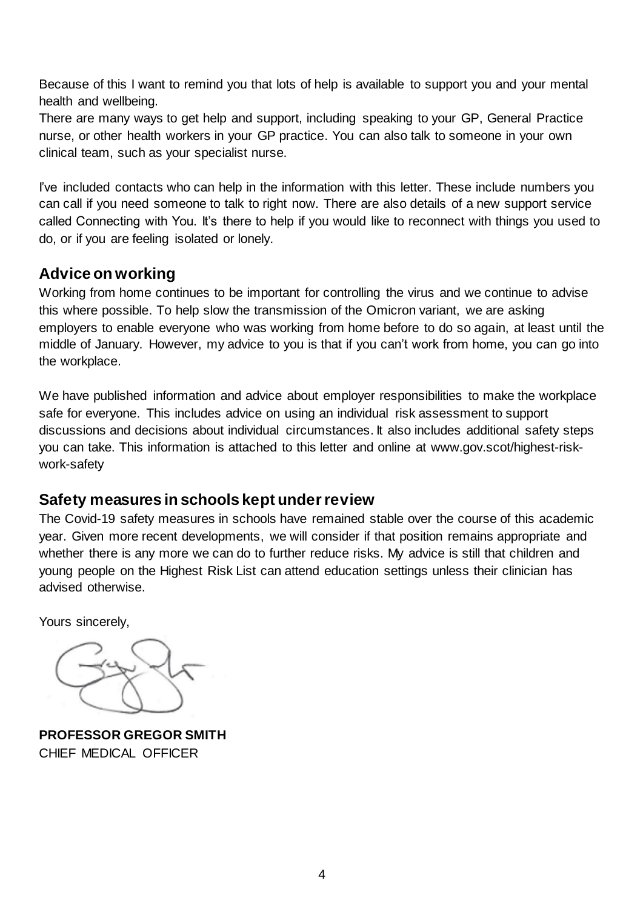Because of this I want to remind you that lots of help is available to support you and your mental health and wellbeing.

There are many ways to get help and support, including speaking to your GP, General Practice nurse, or other health workers in your GP practice. You can also talk to someone in your own clinical team, such as your specialist nurse.

I've included contacts who can help in the information with this letter. These include numbers you can call if you need someone to talk to right now. There are also details of a new support service called Connecting with You. It's there to help if you would like to reconnect with things you used to do, or if you are feeling isolated or lonely.

## **Advice on working**

Working from home continues to be important for controlling the virus and we continue to advise this where possible. To help slow the transmission of the Omicron variant, we are asking employers to enable everyone who was working from home before to do so again, at least until the middle of January. However, my advice to you is that if you can't work from home, you can go into the workplace.

We have published information and advice about employer responsibilities to make the workplace safe for everyone. This includes advice on using an individual risk assessment to support discussions and decisions about individual circumstances. It also includes additional safety steps you can take. This information is attached to this letter and online at [www.gov.scot/highest-risk](http://www.gov.scot/highest-risk-work-safety)[work-safety](http://www.gov.scot/highest-risk-work-safety)

#### **Safety measures in schools kept under review**

The Covid-19 safety measures in schools have remained stable over the course of this academic year. Given more recent developments, we will consider if that position remains appropriate and whether there is any more we can do to further reduce risks. My advice is still that children and young people on the Highest Risk List can attend education settings unless their clinician has advised otherwise.

Yours sincerely,

**PROFESSOR GREGOR SMITH** CHIEF MEDICAL OFFICER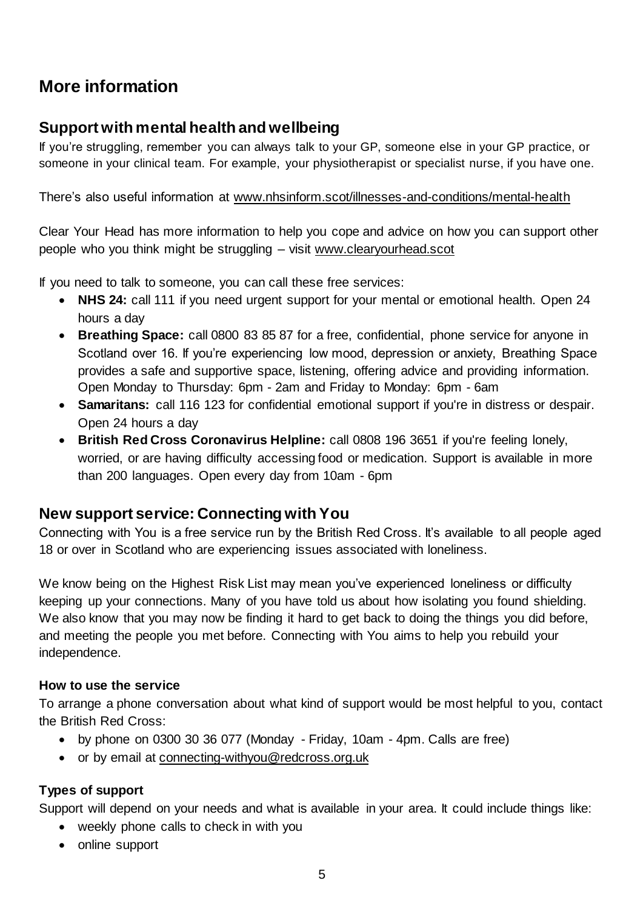# **More information**

## **Support with mental health and wellbeing**

If you're struggling, remember you can always talk to your GP, someone else in your GP practice, or someone in your clinical team. For example, your physiotherapist or specialist nurse, if you have one.

There's also useful information at [www.nhsinform.scot/illnesses-and-conditions/mental-health](http://www.nhsinform.scot/illnesses-and-conditions/mental-health)

Clear Your Head has more information to help you cope and advice on how you can support other people who you think might be struggling – visit [www.clearyourhead.scot](http://www.clearyourhead.scot/)

If you need to talk to someone, you can call these free services:

- **NHS 24:** call 111 if you need urgent support for your mental or emotional health. Open 24 hours a day
- **Breathing Space:** call 0800 83 85 87 for a free, confidential, phone service for anyone in Scotland over 16. If you're experiencing low mood, depression or anxiety, Breathing Space provides a safe and supportive space, listening, offering advice and providing information. Open Monday to Thursday: 6pm - 2am and Friday to Monday: 6pm - 6am
- **Samaritans:** call 116 123 for confidential emotional support if you're in distress or despair. Open 24 hours a day
- **British Red Cross Coronavirus Helpline:** call 0808 196 3651 if you're feeling lonely, worried, or are having difficulty accessing food or medication. Support is available in more than 200 languages. Open every day from 10am - 6pm

#### **New support service: Connecting with You**

Connecting with You is a free service run by the British Red Cross. It's available to all people aged 18 or over in Scotland who are experiencing issues associated with loneliness.

We know being on the Highest Risk List may mean you've experienced loneliness or difficulty keeping up your connections. Many of you have told us about how isolating you found shielding. We also know that you may now be finding it hard to get back to doing the things you did before, and meeting the people you met before. Connecting with You aims to help you rebuild your independence.

#### **How to use the service**

To arrange a phone conversation about what kind of support would be most helpful to you, contact the British Red Cross:

- by phone on 0300 30 36 077 (Monday Friday, 10am 4pm. Calls are free)
- or by email at [connecting-withyou@redcross.org.uk](mailto:connecting-withyou@redcross.org.uk)

#### **Types of support**

Support will depend on your needs and what is available in your area. It could include things like:

- weekly phone calls to check in with you
- online support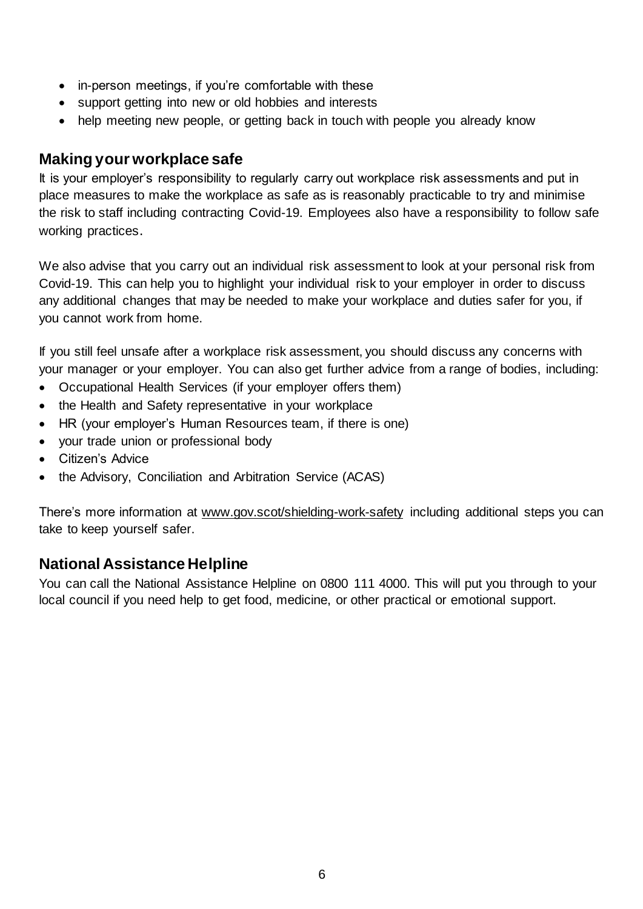- in-person meetings, if you're comfortable with these
- support getting into new or old hobbies and interests
- help meeting new people, or getting back in touch with people you already know

#### **Making your workplace safe**

It is your employer's responsibility to regularly carry out workplace risk assessments and put in place measures to make the workplace as safe as is reasonably practicable to try and minimise the risk to staff including contracting Covid-19. Employees also have a responsibility to follow safe working practices.

We also advise that you carry out an individual risk assessment to look at your personal risk from Covid-19. This can help you to highlight your individual risk to your employer in order to discuss any additional changes that may be needed to make your workplace and duties safer for you, if you cannot work from home.

If you still feel unsafe after a workplace risk assessment, you should discuss any concerns with your manager or your employer. You can also get further advice from a range of bodies, including:

- Occupational Health Services (if your employer offers them)
- the Health and Safety representative in your workplace
- HR (your employer's Human Resources team, if there is one)
- your trade union or professional body
- Citizen's Advice
- the Advisory, Conciliation and Arbitration Service (ACAS)

There's more information at [www.gov.scot/shielding-work-safety](http://www.gov.scot/shielding-work-safety) including additional steps you can take to keep yourself safer.

## **National Assistance Helpline**

You can call the National Assistance Helpline on 0800 111 4000. This will put you through to your local council if you need help to get food, medicine, or other practical or emotional support.